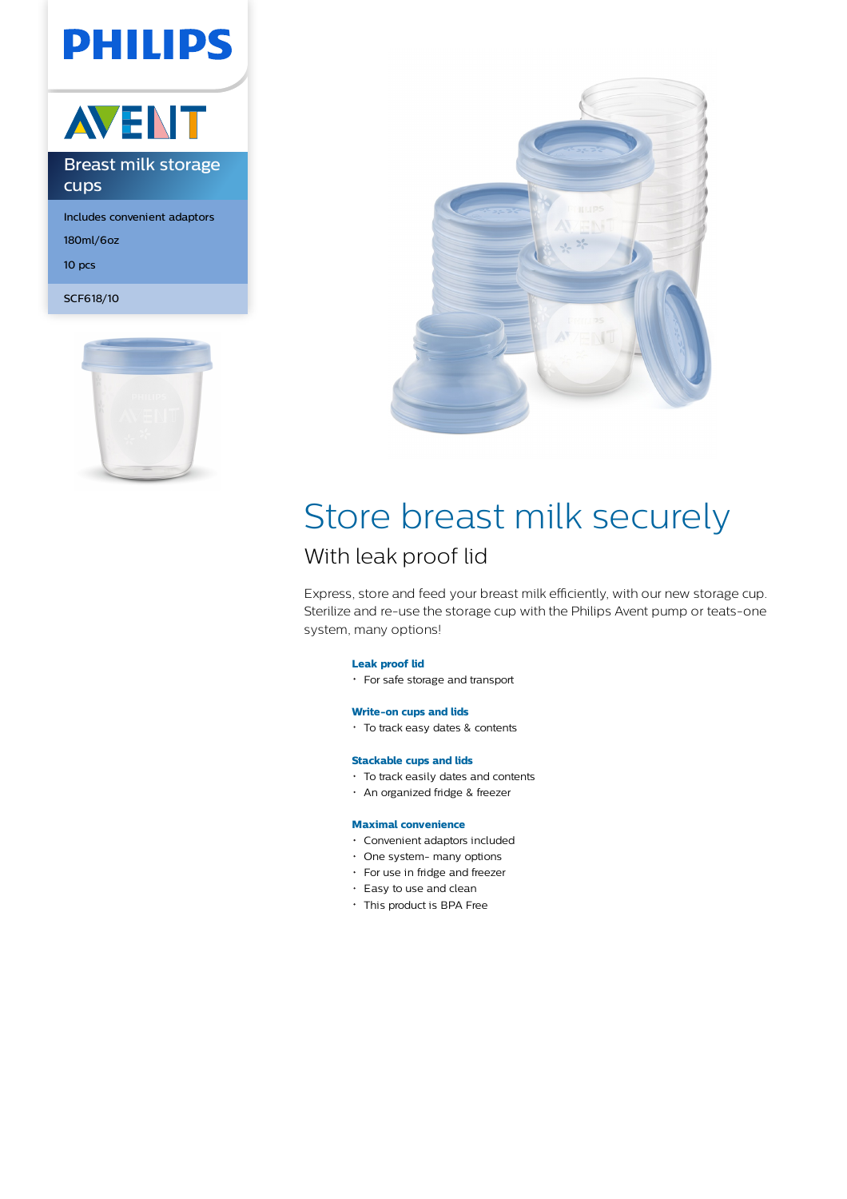# **PHILIPS**



180ml/6oz 10 pcs

SCF618/10





# Store breast milk securely

### With leak proof lid

Express, store and feed your breast milk efficiently, with our new storage cup. Sterilize and re-use the storage cup with the Philips Avent pump or teats-one system, many options!

#### **Leak proof lid**

For safe storage and transport

#### **Write-on cups and lids**

To track easy dates & contents

#### **Stackable cups and lids**

- To track easily dates and contents
- An organized fridge & freezer

#### **Maximal convenience**

- Convenient adaptors included
- One system- many options
- For use in fridge and freezer
- Easy to use and clean
- This product is BPA Free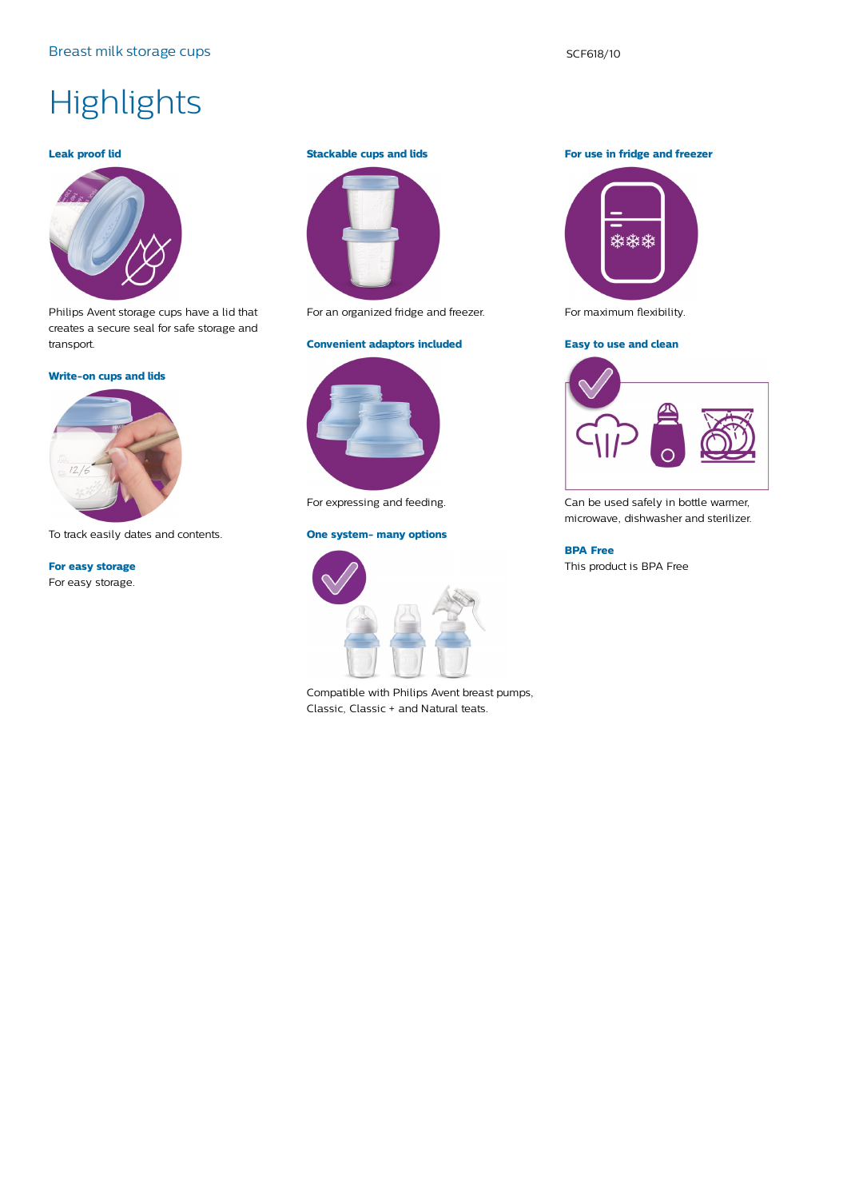## **Highlights**

#### **Leak proof lid**



Philips Avent storage cups have a lid that creates a secure seal for safe storage and transport.

#### **Write-on cups and lids**



To track easily dates and contents.

**For easy storage** For easy storage.

#### **Stackable cups and lids**



For an organized fridge and freezer.

#### **Convenient adaptors included**



For expressing and feeding.

#### **One system- many options**



Compatible with Philips Avent breast pumps, Classic, Classic + and Natural teats.

**For use in fridge and freezer**



For maximum flexibility.

#### **Easy to use and clean**



Can be used safely in bottle warmer, microwave, dishwasher and sterilizer.

#### **BPA Free**

This product is BPA Free